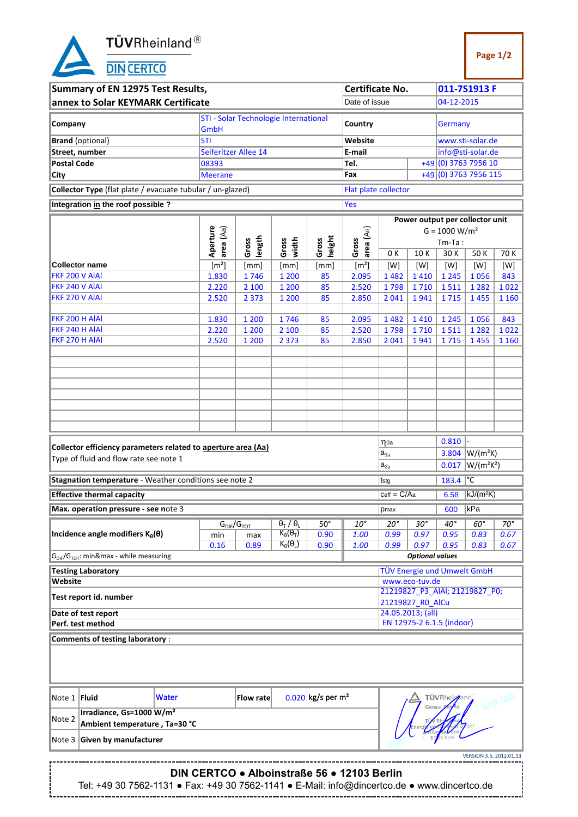**TÜV**Rheinland<sup>®</sup><br>DIN CERTCO

| Summary of EN 12975 Test Results,                                                   |       |                       |                                             |                                               |                                 | <b>Certificate No.</b>          |                  |                                 |                              | 011-7S1913 F                   |              |  |  |  |
|-------------------------------------------------------------------------------------|-------|-----------------------|---------------------------------------------|-----------------------------------------------|---------------------------------|---------------------------------|------------------|---------------------------------|------------------------------|--------------------------------|--------------|--|--|--|
|                                                                                     |       |                       |                                             |                                               |                                 |                                 |                  |                                 |                              |                                |              |  |  |  |
| annex to Solar KEYMARK Certificate<br>Date of issue                                 |       |                       |                                             |                                               |                                 |                                 |                  |                                 | 04-12-2015                   |                                |              |  |  |  |
| STI - Solar Technologie International                                               |       |                       |                                             |                                               |                                 |                                 |                  |                                 |                              |                                |              |  |  |  |
| Company                                                                             |       |                       |                                             |                                               |                                 | Country                         |                  |                                 | Germany                      |                                |              |  |  |  |
|                                                                                     |       | GmbH                  |                                             |                                               |                                 |                                 |                  |                                 |                              |                                |              |  |  |  |
| <b>Brand</b> (optional)                                                             |       | <b>STI</b>            |                                             |                                               |                                 | Website                         |                  |                                 |                              | www.sti-solar.de               |              |  |  |  |
| Street, number                                                                      |       |                       | Seiferitzer Allee 14                        |                                               |                                 | E-mail                          |                  |                                 | info@sti-solar.de            |                                |              |  |  |  |
| <b>Postal Code</b>                                                                  |       | 08393                 |                                             |                                               |                                 | Tel.                            |                  |                                 |                              | +49 (0) 3763 7956 10           |              |  |  |  |
|                                                                                     |       |                       |                                             |                                               |                                 |                                 |                  |                                 |                              |                                |              |  |  |  |
| <b>City</b>                                                                         |       | <b>Meerane</b>        |                                             |                                               |                                 | Fax                             |                  | +49 (0) 3763 7956 115           |                              |                                |              |  |  |  |
| Collector Type (flat plate / evacuate tubular / un-glazed)                          |       |                       |                                             |                                               |                                 | <b>Flat plate collector</b>     |                  |                                 |                              |                                |              |  |  |  |
|                                                                                     |       |                       |                                             |                                               |                                 |                                 |                  |                                 |                              |                                |              |  |  |  |
| Integration in the roof possible ?                                                  |       |                       |                                             |                                               |                                 | Yes                             |                  |                                 |                              |                                |              |  |  |  |
|                                                                                     |       |                       |                                             |                                               |                                 |                                 |                  |                                 |                              |                                |              |  |  |  |
|                                                                                     |       |                       |                                             |                                               |                                 |                                 |                  | Power output per collector unit |                              |                                |              |  |  |  |
|                                                                                     |       | Aperture<br>area (Aa) |                                             |                                               |                                 | area (A <sub>G</sub> )<br>Gross |                  | $G = 1000 W/m2$                 |                              |                                |              |  |  |  |
|                                                                                     |       |                       | length<br>Gross                             | width<br>Gross                                |                                 |                                 | $Tm-Ta$ :        |                                 |                              |                                |              |  |  |  |
|                                                                                     |       |                       |                                             |                                               | height<br>Gross                 |                                 | 0K               | 10K                             | 30 K                         | 50K                            | 70 K         |  |  |  |
| <b>Collector name</b>                                                               |       | [m <sup>2</sup> ]     | [mm]                                        | [mm]                                          | [mm]                            | [m <sup>2</sup> ]               | [W]              | [W]                             | [W]                          | [W]                            | [W]          |  |  |  |
| FKF 200 V AIAI                                                                      |       |                       |                                             |                                               |                                 |                                 |                  |                                 |                              |                                |              |  |  |  |
|                                                                                     |       | 1.830                 | 1746                                        | 1 200                                         | 85                              | 2.095                           | 1482             | 1410                            | 1 2 4 5                      | 1056                           | 843          |  |  |  |
| FKF 240 V AIAI                                                                      |       | 2.220                 | 2 100                                       | 1 200                                         | 85                              | 2.520                           | 1798             | 1710                            | 1511                         | 1 2 8 2                        | 1022         |  |  |  |
| FKF 270 V AIAI                                                                      |       | 2.520                 | 2 3 7 3                                     | 1 200                                         | 85                              | 2.850                           | 2041             | 1941                            | 1715                         | 1455                           | 1 1 6 0      |  |  |  |
|                                                                                     |       |                       |                                             |                                               |                                 |                                 |                  |                                 |                              |                                |              |  |  |  |
| FKF 200 H AIAI                                                                      |       | 1.830                 | 1 200                                       | 1746                                          | 85                              | 2.095                           | 1482             | 1410                            | 1 2 4 5                      | 1056                           | 843          |  |  |  |
| FKF 240 H AIAI                                                                      |       | 2.220                 | 1 200                                       | 2 100                                         | 85                              | 2.520                           | 1798             | 1710                            | 1511                         | 1 2 8 2                        | 1022         |  |  |  |
| FKF 270 H AIAI                                                                      |       |                       |                                             |                                               |                                 |                                 |                  |                                 |                              |                                |              |  |  |  |
|                                                                                     |       | 2.520                 | 1 200                                       | 2 3 7 3                                       | 85                              | 2.850                           | 2 0 4 1          | 1941                            | 1715                         | 1455                           | 1 1 6 0      |  |  |  |
|                                                                                     |       |                       |                                             |                                               |                                 |                                 |                  |                                 |                              |                                |              |  |  |  |
|                                                                                     |       |                       |                                             |                                               |                                 |                                 |                  |                                 |                              |                                |              |  |  |  |
|                                                                                     |       |                       |                                             |                                               |                                 |                                 |                  |                                 |                              |                                |              |  |  |  |
|                                                                                     |       |                       |                                             |                                               |                                 |                                 |                  |                                 |                              |                                |              |  |  |  |
|                                                                                     |       |                       |                                             |                                               |                                 |                                 |                  |                                 |                              |                                |              |  |  |  |
|                                                                                     |       |                       |                                             |                                               |                                 |                                 |                  |                                 |                              |                                |              |  |  |  |
|                                                                                     |       |                       |                                             |                                               |                                 |                                 |                  |                                 |                              |                                |              |  |  |  |
|                                                                                     |       |                       |                                             |                                               |                                 |                                 |                  |                                 |                              |                                |              |  |  |  |
|                                                                                     |       |                       |                                             |                                               |                                 |                                 |                  |                                 |                              |                                |              |  |  |  |
|                                                                                     |       |                       |                                             |                                               |                                 |                                 |                  |                                 |                              |                                |              |  |  |  |
| Collector efficiency parameters related to aperture area (Aa)                       |       |                       |                                             |                                               |                                 |                                 | $\eta$ 0a        |                                 | 0.810                        |                                |              |  |  |  |
| Type of fluid and flow rate see note 1                                              |       |                       |                                             |                                               |                                 |                                 | $a_{1a}$         |                                 | $3.804$ W/(m <sup>2</sup> K) |                                |              |  |  |  |
|                                                                                     |       |                       |                                             |                                               |                                 |                                 | $a_{2a}$         | $W/(m^2K^2)$<br>0.017           |                              |                                |              |  |  |  |
|                                                                                     |       |                       |                                             |                                               |                                 |                                 |                  |                                 |                              |                                |              |  |  |  |
| Stagnation temperature - Weather conditions see note 2                              |       |                       |                                             |                                               |                                 |                                 | tstg             |                                 | 183.4 °C                     |                                |              |  |  |  |
| <b>Effective thermal capacity</b>                                                   |       |                       |                                             |                                               |                                 |                                 | $Ceff = C/Aa$    |                                 | 6.58                         | $kJ/(m^2K)$                    |              |  |  |  |
|                                                                                     |       |                       |                                             |                                               |                                 |                                 |                  |                                 |                              |                                |              |  |  |  |
| Max. operation pressure - see note 3                                                |       |                       |                                             |                                               |                                 |                                 | $ p$ max         |                                 | 600                          | $\sqrt{R}$                     |              |  |  |  |
|                                                                                     |       |                       |                                             | $\theta$ <sub>T</sub> / $\theta$ <sub>L</sub> | $50^\circ$                      | $10^{\circ}$                    |                  |                                 |                              |                                |              |  |  |  |
|                                                                                     |       |                       | $G_{\text{DIF}}/G_{\text{TOT}}$             |                                               |                                 |                                 | $20^{\circ}$     | $30^{\circ}$                    | 40°                          | $60^\circ$                     | $70^{\circ}$ |  |  |  |
| Incidence angle modifiers $K_{\theta}(\theta)$                                      |       | min                   | max                                         | $K_{\theta}(\theta_T)$                        | 0.90                            | 1.00                            | 0.99             | 0.97                            | 0.95                         | 0.83                           | 0.67         |  |  |  |
|                                                                                     |       | 0.16                  | 0.89                                        | $K_{\theta}(\theta_L)$                        | 0.90                            | 1.00                            | 0.99             | 0.97                            | 0.95                         | 0.83                           | 0.67         |  |  |  |
| $ G_{\text{DIF}}/G_{\text{TOT}}$ : min&max - while measuring                        |       |                       |                                             |                                               |                                 |                                 |                  | <b>Optional values</b>          |                              |                                |              |  |  |  |
|                                                                                     |       |                       |                                             |                                               |                                 |                                 |                  |                                 |                              |                                |              |  |  |  |
| <b>Testing Laboratory</b>                                                           |       |                       |                                             |                                               |                                 |                                 |                  |                                 |                              | TÜV Energie und Umwelt GmbH    |              |  |  |  |
| Website                                                                             |       |                       |                                             |                                               |                                 |                                 |                  | www.eco-tuv.de                  |                              |                                |              |  |  |  |
|                                                                                     |       |                       |                                             |                                               |                                 |                                 |                  |                                 |                              | 21219827_P3_AIAI; 21219827_P0; |              |  |  |  |
| Test report id. number                                                              |       |                       |                                             |                                               |                                 |                                 | 21219827_RO_AlCu |                                 |                              |                                |              |  |  |  |
| Date of test report                                                                 |       |                       |                                             |                                               |                                 |                                 |                  | 24.05.2013; (all)               |                              |                                |              |  |  |  |
| Perf. test method                                                                   |       |                       |                                             |                                               |                                 |                                 |                  |                                 | EN 12975-2 6.1.5 (indoor)    |                                |              |  |  |  |
|                                                                                     |       |                       |                                             |                                               |                                 |                                 |                  |                                 |                              |                                |              |  |  |  |
| Comments of testing laboratory :                                                    |       |                       |                                             |                                               |                                 |                                 |                  |                                 |                              |                                |              |  |  |  |
|                                                                                     |       |                       |                                             |                                               |                                 |                                 |                  |                                 |                              |                                |              |  |  |  |
|                                                                                     |       |                       |                                             |                                               |                                 |                                 |                  |                                 |                              |                                |              |  |  |  |
|                                                                                     |       |                       |                                             |                                               |                                 |                                 |                  |                                 |                              |                                |              |  |  |  |
|                                                                                     |       |                       |                                             |                                               |                                 |                                 |                  |                                 |                              |                                |              |  |  |  |
|                                                                                     |       |                       |                                             |                                               |                                 |                                 |                  |                                 |                              |                                |              |  |  |  |
|                                                                                     |       |                       |                                             |                                               |                                 |                                 |                  |                                 |                              |                                |              |  |  |  |
| Note 1 Fluid                                                                        | Water |                       | Flow rate                                   |                                               | $0.020$ kg/s per m <sup>2</sup> |                                 |                  |                                 | <b>TÜVRheizzan</b>           |                                |              |  |  |  |
| Irradiance, Gs=1000 W/m <sup>2</sup>                                                |       |                       |                                             |                                               |                                 |                                 |                  |                                 |                              |                                |              |  |  |  |
| Note 2<br>Ambient temperature, Ta=30 °C                                             |       |                       |                                             |                                               |                                 |                                 |                  |                                 |                              |                                |              |  |  |  |
|                                                                                     |       |                       |                                             |                                               |                                 |                                 |                  |                                 |                              |                                |              |  |  |  |
| Given by manufacturer<br>Note 3                                                     |       |                       |                                             |                                               |                                 |                                 |                  |                                 |                              |                                |              |  |  |  |
|                                                                                     |       |                       |                                             |                                               |                                 |                                 |                  |                                 |                              |                                |              |  |  |  |
|                                                                                     |       |                       |                                             |                                               |                                 |                                 |                  |                                 |                              | VERSION 3.5, 2012.01.13        |              |  |  |  |
|                                                                                     |       |                       |                                             |                                               |                                 |                                 |                  |                                 |                              |                                |              |  |  |  |
|                                                                                     |       |                       | DIN CERTCO . Alboinstraße 56 . 12103 Berlin |                                               |                                 |                                 |                  |                                 |                              |                                |              |  |  |  |
| $T_0$ : +40.20.7562.4424 + $F_0$ : +40.20.7562.4444 + $F_0$ Mail: info@dineertee.de |       |                       |                                             |                                               |                                 |                                 |                  |                                 | $\sim$ usus dinoottoo do     |                                |              |  |  |  |

Tel: +49 30 7562-1131 ● Fax: +49 30 7562-1141 ● E-Mail: info@dincertco.de ● www.dincertco.de